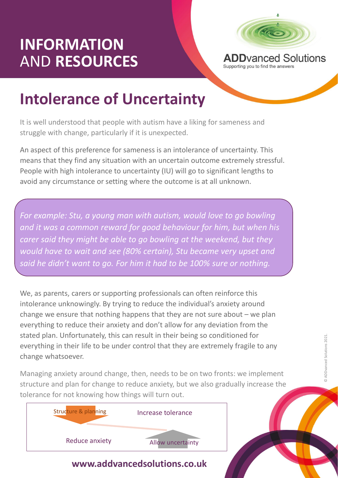## INFORMATION<br>AND RESOURCES ADD AND Solutions AND RESOURCES



INFORMATION<br>
ADD Vanced Solution and the answers of Uncertainty<br>
Intolerance of Uncertainty<br>
It is well understood that people with autism have a liking for sameness and<br>
struggle with change, particularly if it is unexpec It is well understood that people with autism have a liking for sameness and struggle with change, particularly if it is unexpected.

An aspect of this preference for sameness is an intolerance of uncertainty. This means that they find any situation with an uncertain outcome extremely stressful. People with high intolerance to uncertainty (IU) will go to significant lengths to avoid any circumstance or setting where the outcome is at all unknown.

For example: Stu, a young man with autism, would love to go bowling and it was a common reward for good behaviour for him, but when his **INTOIETANCE OT UNCETTAINTY**<br>It is well understood that people with autism have a liking for sameness and<br>struggle with change, particularly if it is unexpected.<br>An aspect of this preference for sameness is an intolerance would have to wait and see (80% certain), Stu became very upset and said he didn't want to go. For him it had to be 100% sure or nothing.

mith autism, would love to go bowling<br>good behaviour for him, but when his<br>go bowling at the weekend, but they<br>icertain), Stu became very upset and<br>n it had to be 100% sure or nothing.<br>professionals can often reinforce thi We, as parents, carers or supporting professionals can often reinforce this intolerance unknowingly. By trying to reduce the individual's anxiety around explie with ingnimion earties to undertainty (to) will go to significant lengths to<br>avoid any circumstance or setting where the outcome is at all unknown.<br>For example: Stu, a young man with autism, would love to go bowling everything to reduce their anxiety and don't allow for any deviation from the stated plan. Unfortunately, this can result in their being so conditioned for everything in their life to be under control that they are extremely fragile to any change whatsoever. Stated plan. Unfortunately, this can result in their being so conditioned for<br>everything in their life to be under control that they are extremely fragile to any<br>change whatsoever.<br>Managing anxiety around change, then, nee

structure and plan for change to reduce anxiety, but we also gradually increase the tolerance for not knowing how things will turn out.



## www.addvancedsolutions.co.uk